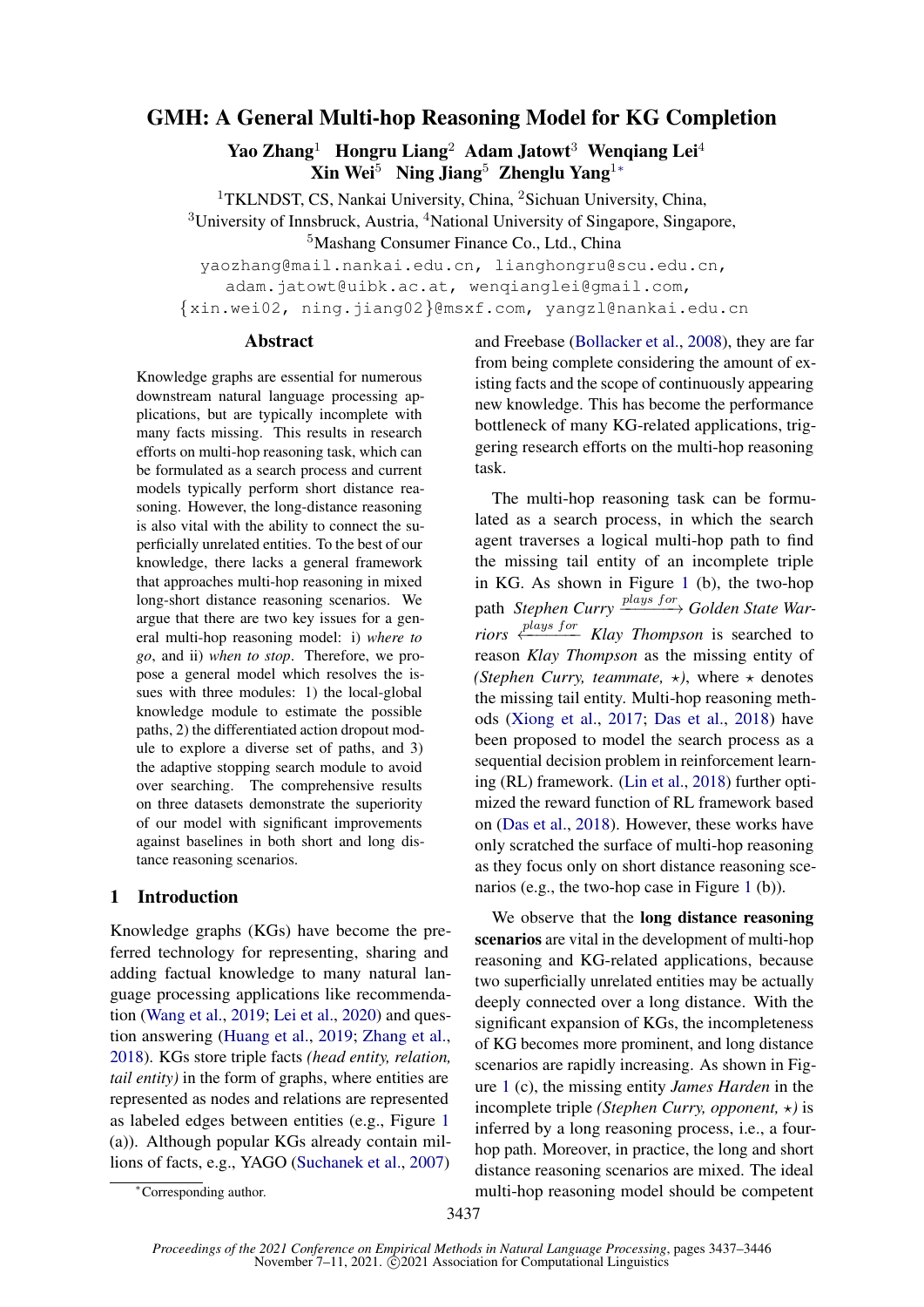# GMH: A General Multi-hop Reasoning Model for KG Completion

Yao Zhang<sup>1</sup> Hongru Liang<sup>2</sup> Adam Jatowt<sup>3</sup> Wengiang Lei<sup>4</sup> Xin Wei<sup>5</sup> Ning Jiang<sup>5</sup> Zhenglu Yang<sup>1</sup>\*

<sup>1</sup>TKLNDST, CS, Nankai University, China, <sup>2</sup>Sichuan University, China,

<sup>3</sup>University of Innsbruck, Austria, <sup>4</sup>National University of Singapore, Singapore,

<sup>5</sup>Mashang Consumer Finance Co., Ltd., China

yaozhang@mail.nankai.edu.cn, lianghongru@scu.edu.cn,

adam.jatowt@uibk.ac.at, wengianglei@gmail.com,

{xin.wei02, ning.jiang02}@msxf.com, yangzl@nankai.edu.cn

### Abstract

Knowledge graphs are essential for numerous downstream natural language processing applications, but are typically incomplete with many facts missing. This results in research efforts on multi-hop reasoning task, which can be formulated as a search process and current models typically perform short distance reasoning. However, the long-distance reasoning is also vital with the ability to connect the superficially unrelated entities. To the best of our knowledge, there lacks a general framework that approaches multi-hop reasoning in mixed long-short distance reasoning scenarios. We argue that there are two key issues for a general multi-hop reasoning model: i) *where to go*, and ii) *when to stop*. Therefore, we propose a general model which resolves the issues with three modules: 1) the local-global knowledge module to estimate the possible paths, 2) the differentiated action dropout module to explore a diverse set of paths, and 3) the adaptive stopping search module to avoid over searching. The comprehensive results on three datasets demonstrate the superiority of our model with significant improvements against baselines in both short and long distance reasoning scenarios.

# 1 Introduction

Knowledge graphs (KGs) have become the preferred technology for representing, sharing and adding factual knowledge to many natural language processing applications like recommendation [\(Wang et al.,](#page-9-0) [2019;](#page-9-0) [Lei et al.,](#page-8-0) [2020\)](#page-8-0) and question answering [\(Huang et al.,](#page-8-1) [2019;](#page-8-1) [Zhang et al.,](#page-9-1) [2018\)](#page-9-1). KGs store triple facts *(head entity, relation, tail entity)* in the form of graphs, where entities are represented as nodes and relations are represented as labeled edges between entities (e.g., Figure [1](#page-1-0) (a)). Although popular KGs already contain millions of facts, e.g., YAGO [\(Suchanek et al.,](#page-9-2) [2007\)](#page-9-2)

and Freebase [\(Bollacker et al.,](#page-8-2) [2008\)](#page-8-2), they are far from being complete considering the amount of existing facts and the scope of continuously appearing new knowledge. This has become the performance bottleneck of many KG-related applications, triggering research efforts on the multi-hop reasoning task.

The multi-hop reasoning task can be formulated as a search process, in which the search agent traverses a logical multi-hop path to find the missing tail entity of an incomplete triple in KG. As shown in Figure [1](#page-1-0) (b), the two-hop path *Stephen Curry*  $\frac{plays~for}{\longrightarrow}$  *Golden State Warriors*  $\xi$ <sup>*plays for Klay Thompson* is searched to</sup> reason *Klay Thompson* as the missing entity of *(Stephen Curry, teammate,*  $\star$ *), where*  $\star$  denotes the missing tail entity. Multi-hop reasoning methods [\(Xiong et al.,](#page-9-3) [2017;](#page-9-3) [Das et al.,](#page-8-3) [2018\)](#page-8-3) have been proposed to model the search process as a sequential decision problem in reinforcement learning (RL) framework. [\(Lin et al.,](#page-9-4) [2018\)](#page-9-4) further optimized the reward function of RL framework based on [\(Das et al.,](#page-8-3) [2018\)](#page-8-3). However, these works have only scratched the surface of multi-hop reasoning as they focus only on short distance reasoning scenarios (e.g., the two-hop case in Figure [1](#page-1-0) (b)).

We observe that the **long distance reasoning** scenarios are vital in the development of multi-hop reasoning and KG-related applications, because two superficially unrelated entities may be actually deeply connected over a long distance. With the significant expansion of KGs, the incompleteness of KG becomes more prominent, and long distance scenarios are rapidly increasing. As shown in Figure [1](#page-1-0) (c), the missing entity *James Harden* in the incomplete triple *(Stephen Curry, opponent,*  $\star$ *)* is inferred by a long reasoning process, i.e., a fourhop path. Moreover, in practice, the long and short distance reasoning scenarios are mixed. The ideal multi-hop reasoning model should be competent

<sup>∗</sup>Corresponding author.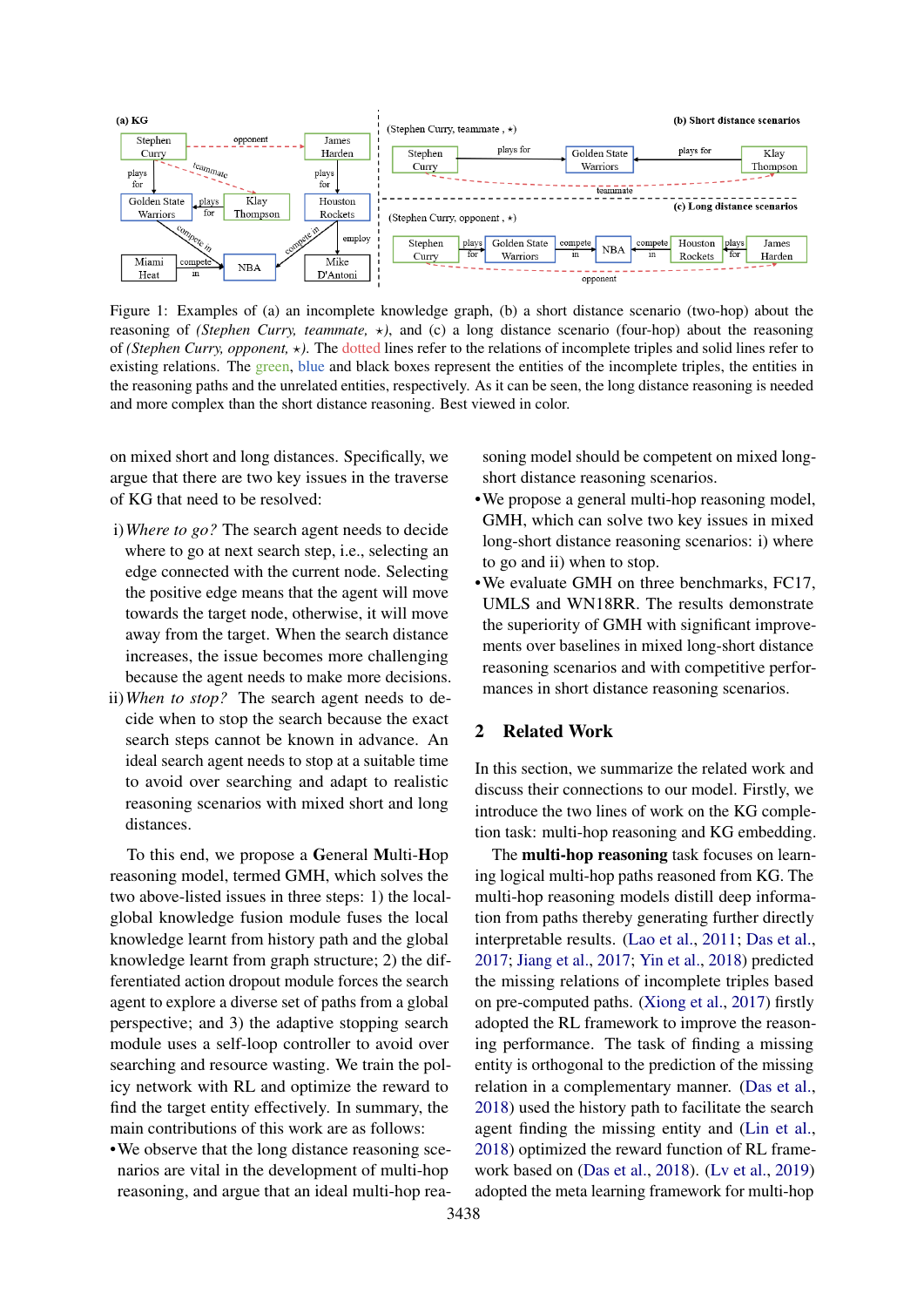<span id="page-1-0"></span>

Figure 1: Examples of (a) an incomplete knowledge graph, (b) a short distance scenario (two-hop) about the reasoning of *(Stephen Curry, teammate,*  $\star$ *)*, and *(c)* a long distance scenario *(four-hop)* about the reasoning of *(Stephen Curry, opponent,*  $\star$ ). The dotted lines refer to the relations of incomplete triples and solid lines refer to existing relations. The green, blue and black boxes represent the entities of the incomplete triples, the entities in the reasoning paths and the unrelated entities, respectively. As it can be seen, the long distance reasoning is needed and more complex than the short distance reasoning. Best viewed in color.

on mixed short and long distances. Specifically, we argue that there are two key issues in the traverse of KG that need to be resolved:

- i)*Where to go?* The search agent needs to decide where to go at next search step, i.e., selecting an edge connected with the current node. Selecting the positive edge means that the agent will move towards the target node, otherwise, it will move away from the target. When the search distance increases, the issue becomes more challenging because the agent needs to make more decisions.
- ii)*When to stop?* The search agent needs to decide when to stop the search because the exact search steps cannot be known in advance. An ideal search agent needs to stop at a suitable time to avoid over searching and adapt to realistic reasoning scenarios with mixed short and long distances.

To this end, we propose a General Multi-Hop reasoning model, termed GMH, which solves the two above-listed issues in three steps: 1) the localglobal knowledge fusion module fuses the local knowledge learnt from history path and the global knowledge learnt from graph structure; 2) the differentiated action dropout module forces the search agent to explore a diverse set of paths from a global perspective; and 3) the adaptive stopping search module uses a self-loop controller to avoid over searching and resource wasting. We train the policy network with RL and optimize the reward to find the target entity effectively. In summary, the main contributions of this work are as follows:

•We observe that the long distance reasoning scenarios are vital in the development of multi-hop reasoning, and argue that an ideal multi-hop reasoning model should be competent on mixed longshort distance reasoning scenarios.

- •We propose a general multi-hop reasoning model, GMH, which can solve two key issues in mixed long-short distance reasoning scenarios: i) where to go and ii) when to stop.
- •We evaluate GMH on three benchmarks, FC17, UMLS and WN18RR. The results demonstrate the superiority of GMH with significant improvements over baselines in mixed long-short distance reasoning scenarios and with competitive performances in short distance reasoning scenarios.

# 2 Related Work

In this section, we summarize the related work and discuss their connections to our model. Firstly, we introduce the two lines of work on the KG completion task: multi-hop reasoning and KG embedding.

The **multi-hop reasoning** task focuses on learning logical multi-hop paths reasoned from KG. The multi-hop reasoning models distill deep information from paths thereby generating further directly interpretable results. [\(Lao et al.,](#page-8-4) [2011;](#page-8-4) [Das et al.,](#page-8-5) [2017;](#page-8-5) [Jiang et al.,](#page-8-6) [2017;](#page-8-6) [Yin et al.,](#page-9-5) [2018\)](#page-9-5) predicted the missing relations of incomplete triples based on pre-computed paths. [\(Xiong et al.,](#page-9-3) [2017\)](#page-9-3) firstly adopted the RL framework to improve the reasoning performance. The task of finding a missing entity is orthogonal to the prediction of the missing relation in a complementary manner. [\(Das et al.,](#page-8-3) [2018\)](#page-8-3) used the history path to facilitate the search agent finding the missing entity and [\(Lin et al.,](#page-9-4) [2018\)](#page-9-4) optimized the reward function of RL framework based on [\(Das et al.,](#page-8-3) [2018\)](#page-8-3). [\(Lv et al.,](#page-9-6) [2019\)](#page-9-6) adopted the meta learning framework for multi-hop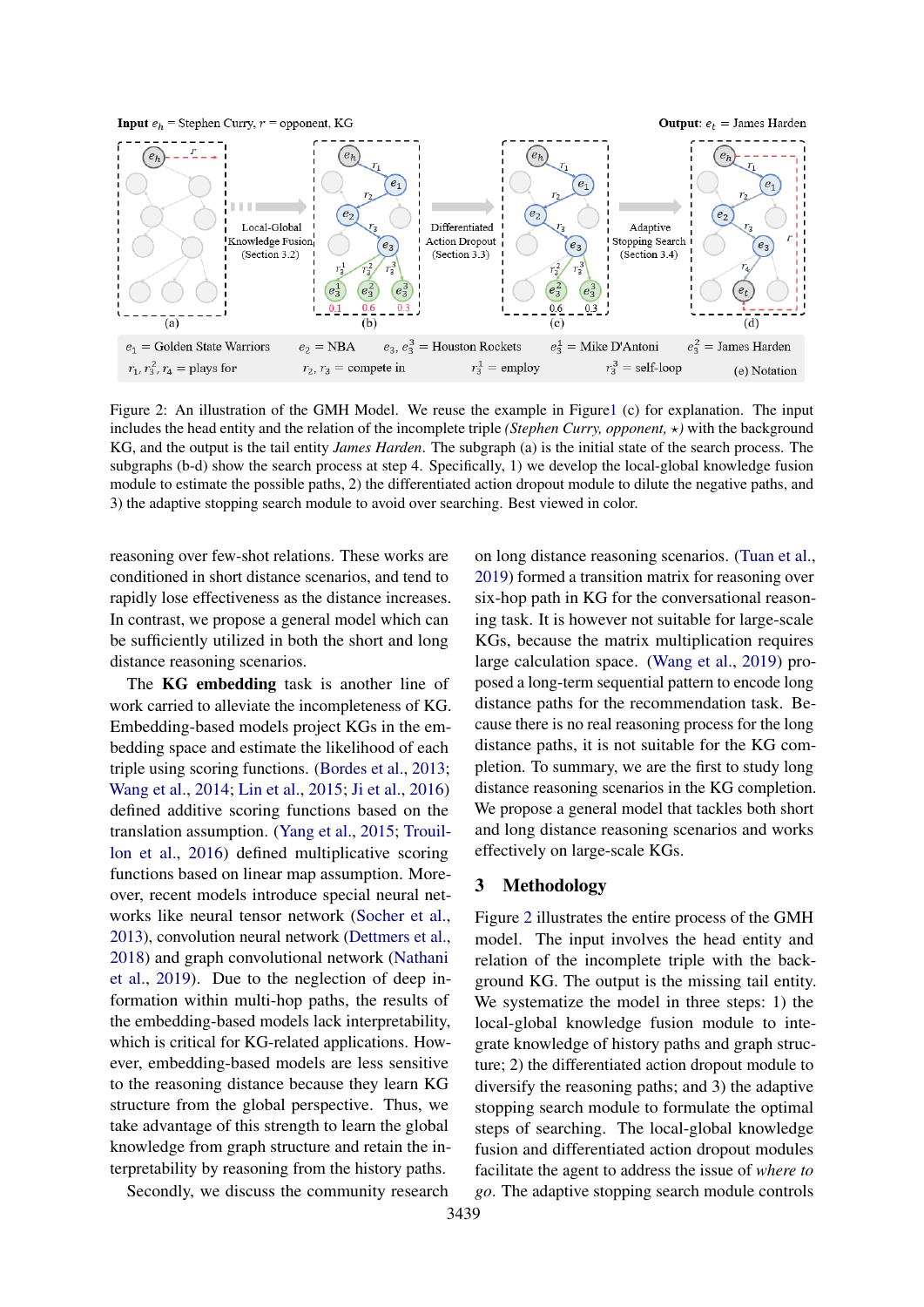<span id="page-2-0"></span>

Figure 2: An illustration of the GMH Model. We reuse the example in Figur[e1](#page-1-0) (c) for explanation. The input includes the head entity and the relation of the incomplete triple *(Stephen Curry, opponent,*  $\star$ ) with the background KG, and the output is the tail entity *James Harden*. The subgraph (a) is the initial state of the search process. The subgraphs (b-d) show the search process at step 4. Specifically, 1) we develop the local-global knowledge fusion module to estimate the possible paths, 2) the differentiated action dropout module to dilute the negative paths, and 3) the adaptive stopping search module to avoid over searching. Best viewed in color.

reasoning over few-shot relations. These works are conditioned in short distance scenarios, and tend to rapidly lose effectiveness as the distance increases. In contrast, we propose a general model which can be sufficiently utilized in both the short and long distance reasoning scenarios.

The KG embedding task is another line of work carried to alleviate the incompleteness of KG. Embedding-based models project KGs in the embedding space and estimate the likelihood of each triple using scoring functions. [\(Bordes et al.,](#page-8-7) [2013;](#page-8-7) [Wang et al.,](#page-9-7) [2014;](#page-9-7) [Lin et al.,](#page-9-8) [2015;](#page-9-8) [Ji et al.,](#page-8-8) [2016\)](#page-8-8) defined additive scoring functions based on the translation assumption. [\(Yang et al.,](#page-9-9) [2015;](#page-9-9) [Trouil](#page-9-10)[lon et al.,](#page-9-10) [2016\)](#page-9-10) defined multiplicative scoring functions based on linear map assumption. Moreover, recent models introduce special neural networks like neural tensor network [\(Socher et al.,](#page-9-11) [2013\)](#page-9-11), convolution neural network [\(Dettmers et al.,](#page-8-9) [2018\)](#page-8-9) and graph convolutional network [\(Nathani](#page-9-12) [et al.,](#page-9-12) [2019\)](#page-9-12). Due to the neglection of deep information within multi-hop paths, the results of the embedding-based models lack interpretability, which is critical for KG-related applications. However, embedding-based models are less sensitive to the reasoning distance because they learn KG structure from the global perspective. Thus, we take advantage of this strength to learn the global knowledge from graph structure and retain the interpretability by reasoning from the history paths.

Secondly, we discuss the community research

on long distance reasoning scenarios. [\(Tuan et al.,](#page-9-13) [2019\)](#page-9-13) formed a transition matrix for reasoning over six-hop path in KG for the conversational reasoning task. It is however not suitable for large-scale KGs, because the matrix multiplication requires large calculation space. [\(Wang et al.,](#page-9-0) [2019\)](#page-9-0) proposed a long-term sequential pattern to encode long distance paths for the recommendation task. Because there is no real reasoning process for the long distance paths, it is not suitable for the KG completion. To summary, we are the first to study long distance reasoning scenarios in the KG completion. We propose a general model that tackles both short and long distance reasoning scenarios and works effectively on large-scale KGs.

# 3 Methodology

Figure [2](#page-2-0) illustrates the entire process of the GMH model. The input involves the head entity and relation of the incomplete triple with the background KG. The output is the missing tail entity. We systematize the model in three steps: 1) the local-global knowledge fusion module to integrate knowledge of history paths and graph structure; 2) the differentiated action dropout module to diversify the reasoning paths; and 3) the adaptive stopping search module to formulate the optimal steps of searching. The local-global knowledge fusion and differentiated action dropout modules facilitate the agent to address the issue of *where to go*. The adaptive stopping search module controls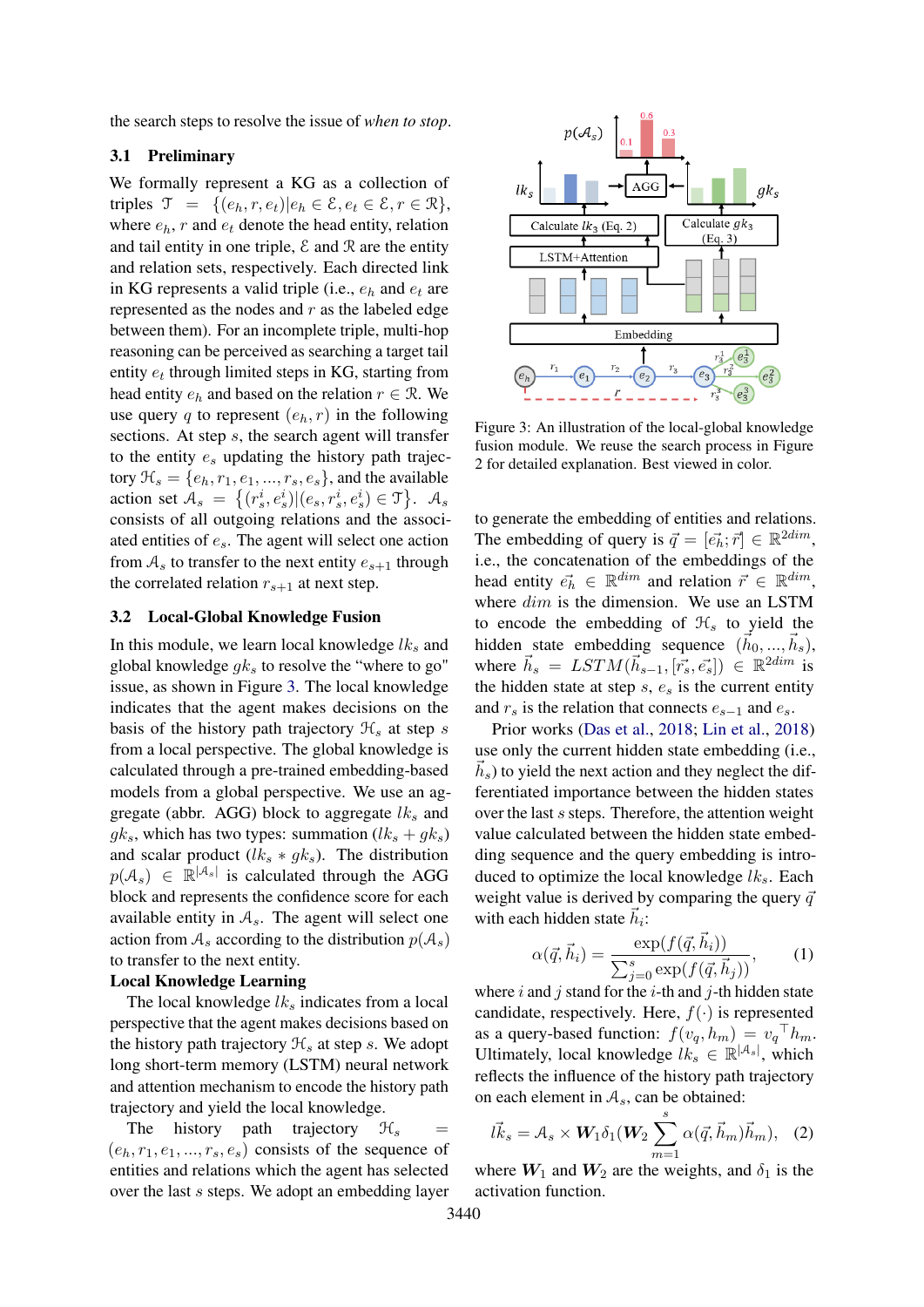the search steps to resolve the issue of *when to stop*.

### 3.1 Preliminary

We formally represent a KG as a collection of triples  $\mathcal{T} = \{(e_h, r, e_t) | e_h \in \mathcal{E}, e_t \in \mathcal{E}, r \in \mathcal{R}\},\$ where  $e_h$ , r and  $e_t$  denote the head entity, relation and tail entity in one triple,  $\mathcal E$  and  $\mathcal R$  are the entity and relation sets, respectively. Each directed link in KG represents a valid triple (i.e.,  $e_h$  and  $e_t$  are represented as the nodes and  $r$  as the labeled edge between them). For an incomplete triple, multi-hop reasoning can be perceived as searching a target tail entity  $e_t$  through limited steps in KG, starting from head entity  $e_h$  and based on the relation  $r \in \mathcal{R}$ . We use query q to represent  $(e_h, r)$  in the following sections. At step s, the search agent will transfer to the entity  $e_s$  updating the history path trajectory  $\mathcal{H}_s = \{e_h, r_1, e_1, \ldots, r_s, e_s\}$ , and the available action set  $A_s = \{(r_s^i, e_s^i) | (e_s, r_s^i, e_s^i) \in \mathcal{T}\}\.$   $A_s$ consists of all outgoing relations and the associated entities of  $e_s$ . The agent will select one action from  $A_s$  to transfer to the next entity  $e_{s+1}$  through the correlated relation  $r_{s+1}$  at next step.

#### 3.2 Local-Global Knowledge Fusion

In this module, we learn local knowledge  $lk<sub>s</sub>$  and global knowledge  $g_k$  to resolve the "where to go" issue, as shown in Figure [3.](#page-3-0) The local knowledge indicates that the agent makes decisions on the basis of the history path trajectory  $\mathcal{H}_s$  at step s from a local perspective. The global knowledge is calculated through a pre-trained embedding-based models from a global perspective. We use an aggregate (abbr. AGG) block to aggregate  $lk<sub>s</sub>$  and  $gk_s$ , which has two types: summation  $(lk_s + gk_s)$ and scalar product  $(lk_s * gk_s)$ . The distribution  $p(\mathcal{A}_s) \in \mathbb{R}^{|\mathcal{A}_s|}$  is calculated through the AGG block and represents the confidence score for each available entity in  $A_s$ . The agent will select one action from  $A_s$  according to the distribution  $p(A_s)$ to transfer to the next entity.

### Local Knowledge Learning

The local knowledge  $lk<sub>s</sub>$  indicates from a local perspective that the agent makes decisions based on the history path trajectory  $\mathcal{H}_s$  at step s. We adopt long short-term memory (LSTM) neural network and attention mechanism to encode the history path trajectory and yield the local knowledge.

The history path trajectory  $\mathcal{H}_s$  =  $(e_h, r_1, e_1, \ldots, r_s, e_s)$  consists of the sequence of entities and relations which the agent has selected over the last s steps. We adopt an embedding layer

<span id="page-3-0"></span>

Figure 3: An illustration of the local-global knowledge fusion module. We reuse the search process in Figure 2 for detailed explanation. Best viewed in color.

to generate the embedding of entities and relations. The embedding of query is  $\vec{q} = [\vec{e_h}; \vec{r}] \in \mathbb{R}^{2dim}$ , i.e., the concatenation of the embeddings of the head entity  $\vec{e_h} \in \mathbb{R}^{dim}$  and relation  $\vec{r} \in \mathbb{R}^{dim}$ , where  $dim$  is the dimension. We use an LSTM to encode the embedding of  $\mathcal{H}_s$  to yield the hidden state embedding sequence  $(\vec{h}_0, ..., \vec{h}_s)$ , where  $\vec{h}_s = LSTM(\vec{h}_{s-1}, [\vec{r}_s, \vec{e}_s]) \in \mathbb{R}^{2dim}$  is the hidden state at step  $s$ ,  $e_s$  is the current entity and  $r_s$  is the relation that connects  $e_{s-1}$  and  $e_s$ .

Prior works [\(Das et al.,](#page-8-3) [2018;](#page-8-3) [Lin et al.,](#page-9-4) [2018\)](#page-9-4) use only the current hidden state embedding (i.e.,  $\vec{h}_s$ ) to yield the next action and they neglect the differentiated importance between the hidden states over the last s steps. Therefore, the attention weight value calculated between the hidden state embedding sequence and the query embedding is introduced to optimize the local knowledge  $lk<sub>s</sub>$ . Each weight value is derived by comparing the query  $\vec{q}$ with each hidden state  $\vec{h}_i$ :

$$
\alpha(\vec{q}, \vec{h}_i) = \frac{\exp(f(\vec{q}, \vec{h}_i))}{\sum_{j=0}^s \exp(f(\vec{q}, \vec{h}_j))},\qquad(1)
$$

where  $i$  and  $j$  stand for the  $i$ -th and  $j$ -th hidden state candidate, respectively. Here,  $f(\cdot)$  is represented as a query-based function:  $f(v_q, h_m) = v_q^\top h_m$ . Ultimately, local knowledge  $lk_s \in \mathbb{R}^{|\mathcal{A}_s|}$ , which reflects the influence of the history path trajectory on each element in  $A_s$ , can be obtained:

<span id="page-3-1"></span>
$$
\vec{lk}_s = \mathcal{A}_s \times \mathbf{W}_1 \delta_1(\mathbf{W}_2 \sum_{m=1}^s \alpha(\vec{q}, \vec{h}_m) \vec{h}_m), \quad (2)
$$

where  $W_1$  and  $W_2$  are the weights, and  $\delta_1$  is the activation function.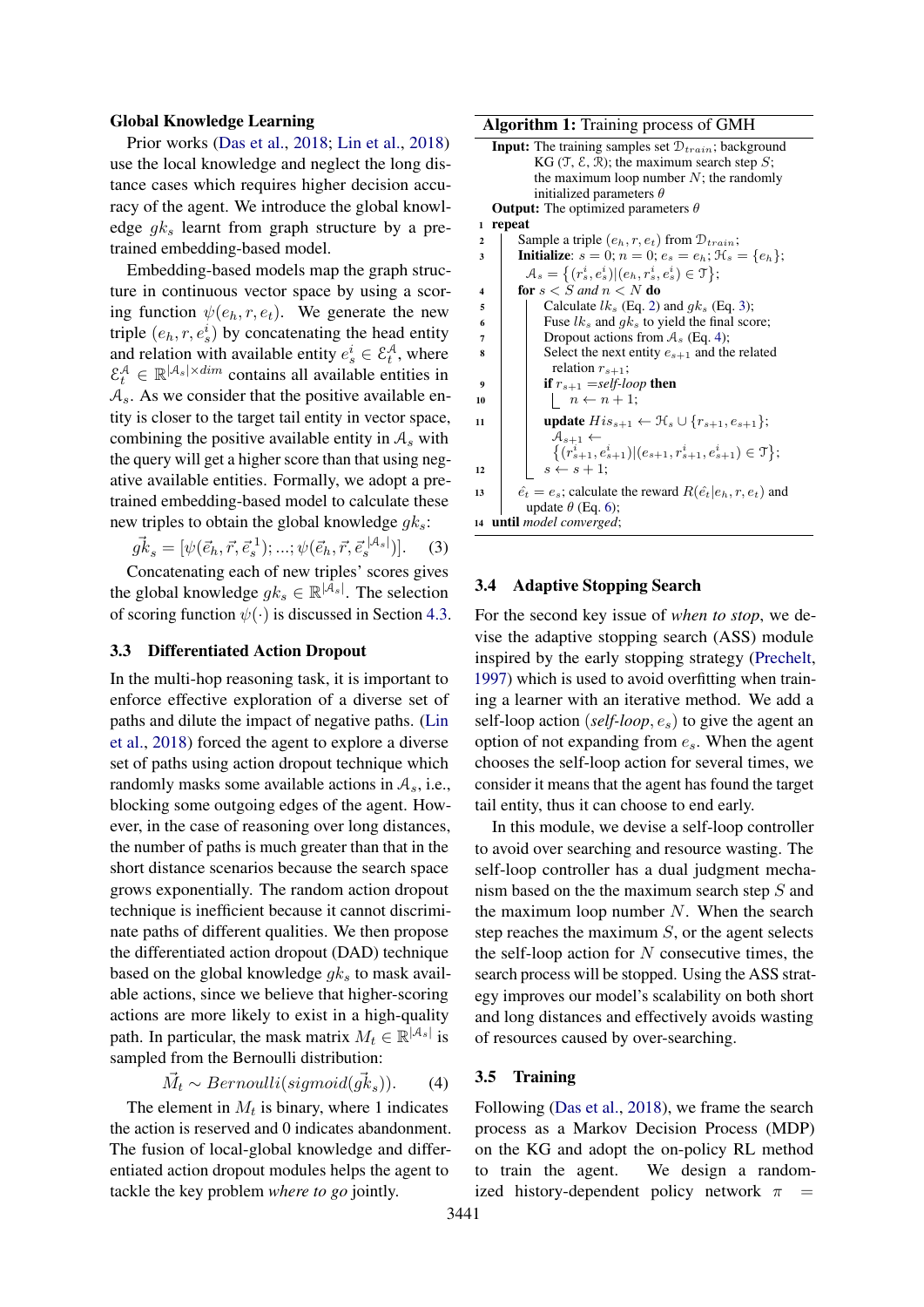#### Global Knowledge Learning

Prior works [\(Das et al.,](#page-8-3) [2018;](#page-8-3) [Lin et al.,](#page-9-4) [2018\)](#page-9-4) use the local knowledge and neglect the long distance cases which requires higher decision accuracy of the agent. We introduce the global knowledge  $g_k$  learnt from graph structure by a pretrained embedding-based model.

Embedding-based models map the graph structure in continuous vector space by using a scoring function  $\psi(e_h, r, e_t)$ . We generate the new triple  $(e_h, r, e_s^i)$  by concatenating the head entity and relation with available entity  $e_s^i \in \mathcal{E}_t^{\mathcal{A}}$ , where  $\mathcal{E}_t^{\mathcal{A}} \in \mathbb{R}^{|\mathcal{A}_s| \times dim}$  contains all available entities in  $A_s$ . As we consider that the positive available entity is closer to the target tail entity in vector space, combining the positive available entity in  $A_s$  with the query will get a higher score than that using negative available entities. Formally, we adopt a pretrained embedding-based model to calculate these new triples to obtain the global knowledge  $g_k$ :

 $g\vec{k}_s = [\psi(\vec{e}_h, \vec{r}, \vec{e}_s^{\{1\}}); ...; \psi(\vec{e}_h, \vec{r}, \vec{e}_s^{\{|A_s|\}})].$  (3)

Concatenating each of new triples' scores gives the global knowledge  $g k_s \in \mathbb{R}^{|\mathcal{A}_s|}$ . The selection of scoring function  $\psi(\cdot)$  is discussed in Section [4.3.](#page-7-0)

#### 3.3 Differentiated Action Dropout

In the multi-hop reasoning task, it is important to enforce effective exploration of a diverse set of paths and dilute the impact of negative paths. [\(Lin](#page-9-4) [et al.,](#page-9-4) [2018\)](#page-9-4) forced the agent to explore a diverse set of paths using action dropout technique which randomly masks some available actions in  $A_s$ , i.e., blocking some outgoing edges of the agent. However, in the case of reasoning over long distances, the number of paths is much greater than that in the short distance scenarios because the search space grows exponentially. The random action dropout technique is inefficient because it cannot discriminate paths of different qualities. We then propose the differentiated action dropout (DAD) technique based on the global knowledge  $g_k$  to mask available actions, since we believe that higher-scoring actions are more likely to exist in a high-quality path. In particular, the mask matrix  $M_t \in \mathbb{R}^{|A_s|}$  is sampled from the Bernoulli distribution:

$$
\vec{M}_t \sim Bernoulli(signoid(\vec{g}\cdot\vec{k}_s)).\qquad(4)
$$

The element in  $M_t$  is binary, where 1 indicates the action is reserved and 0 indicates abandonment. The fusion of local-global knowledge and differentiated action dropout modules helps the agent to tackle the key problem *where to go* jointly.

#### Algorithm 1: Training process of GMH

| <b>Input:</b> The training samples set $\mathcal{D}_{train}$ ; background             |  |
|---------------------------------------------------------------------------------------|--|
| KG $(\mathcal{T}, \mathcal{E}, \mathcal{R})$ ; the maximum search step S;             |  |
| the maximum loop number $N$ ; the randomly                                            |  |
| initialized parameters $\theta$                                                       |  |
| <b>Output:</b> The optimized parameters $\theta$                                      |  |
| repeat<br>1                                                                           |  |
| Sample a triple $(e_h, r, e_t)$ from $\mathcal{D}_{train}$ ;<br>$\mathbf{2}$          |  |
| <b>Initialize:</b> $s = 0$ ; $n = 0$ ; $e_s = e_h$ ; $\mathcal{H}_s = \{e_h\}$ ;<br>3 |  |
| $\mathcal{A}_s = \{(r_s^i, e_s^i)   (e_h, r_s^i, e_s^i) \in \mathcal{T}\};$           |  |
| for $s < S$ and $n < N$ do<br>4                                                       |  |
| Calculate $lk_s$ (Eq. 2) and $qk_s$ (Eq. 3);<br>5                                     |  |
| Fuse $lk_s$ and $qk_s$ to yield the final score;<br>6                                 |  |
| Dropout actions from $A_s$ (Eq. 4);<br>7                                              |  |
| Select the next entity $e_{s+1}$ and the related<br>8                                 |  |
| relation $r_{s+1}$ ;                                                                  |  |
| <b>if</b> $r_{s+1}$ =self-loop then<br>9                                              |  |
| $\left  n \leftarrow n+1; \right.$<br>10                                              |  |
| <b>update</b> $His_{s+1} \leftarrow \mathcal{H}_s \cup \{r_{s+1}, e_{s+1}\};$<br>11   |  |
| $A_{s+1} \leftarrow$                                                                  |  |
| $\{(r_{s+1}^i, e_{s+1}^i)   (e_{s+1}, r_{s+1}^i, e_{s+1}^i) \in \mathcal{T}\};$       |  |
| $s \leftarrow s + 1;$<br>12                                                           |  |
| $\hat{e_t} = e_s$ ; calculate the reward $R(\hat{e_t} e_h, r, e_t)$ and<br>13         |  |
| update $\theta$ (Eq. 6);                                                              |  |
| 14 <b>until</b> model converged;                                                      |  |

### <span id="page-4-0"></span>3.4 Adaptive Stopping Search

For the second key issue of *when to stop*, we devise the adaptive stopping search (ASS) module inspired by the early stopping strategy [\(Prechelt,](#page-9-14) [1997\)](#page-9-14) which is used to avoid overfitting when training a learner with an iterative method. We add a self-loop action (*self-loop*, es) to give the agent an option of not expanding from  $e_s$ . When the agent chooses the self-loop action for several times, we consider it means that the agent has found the target tail entity, thus it can choose to end early.

In this module, we devise a self-loop controller to avoid over searching and resource wasting. The self-loop controller has a dual judgment mechanism based on the the maximum search step S and the maximum loop number  $N$ . When the search step reaches the maximum  $S$ , or the agent selects the self-loop action for  $N$  consecutive times, the search process will be stopped. Using the ASS strategy improves our model's scalability on both short and long distances and effectively avoids wasting of resources caused by over-searching.

# <span id="page-4-1"></span>3.5 Training

Following [\(Das et al.,](#page-8-3) [2018\)](#page-8-3), we frame the search process as a Markov Decision Process (MDP) on the KG and adopt the on-policy RL method to train the agent. We design a randomized history-dependent policy network  $\pi$  =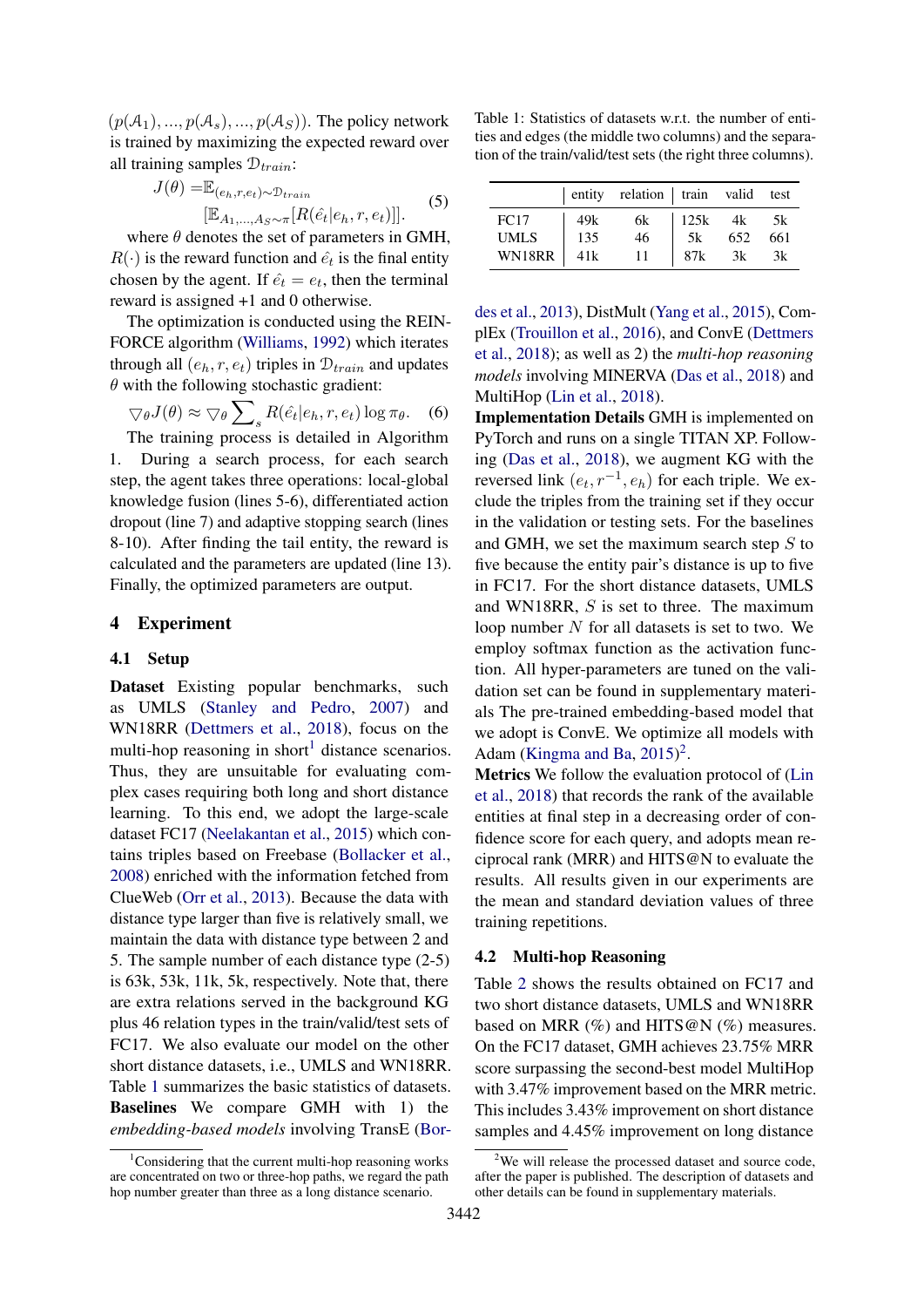$(p(\mathcal{A}_1), ..., p(\mathcal{A}_s), ..., p(\mathcal{A}_S))$ . The policy network is trained by maximizing the expected reward over all training samples  $\mathcal{D}_{train}$ :

$$
J(\theta) = \mathbb{E}_{(e_h, r, e_t) \sim \mathcal{D}_{train}} [E_{A_1, \dots, A_S \sim \pi}[R(\hat{e}_t | e_h, r, e_t)]]
$$
 (5)

where  $\theta$  denotes the set of parameters in GMH,  $R(\cdot)$  is the reward function and  $\hat{e}_t$  is the final entity chosen by the agent. If  $\hat{e}_t = e_t$ , then the terminal reward is assigned +1 and 0 otherwise.

The optimization is conducted using the REIN-FORCE algorithm [\(Williams,](#page-9-15) [1992\)](#page-9-15) which iterates through all  $(e_h, r, e_t)$  triples in  $\mathcal{D}_{train}$  and updates  $\theta$  with the following stochastic gradient:

$$
\nabla_{\theta} J(\theta) \approx \nabla_{\theta} \sum_{s} R(\hat{e}_t | e_h, r, e_t) \log \pi_{\theta}.
$$
 (6)

The training process is detailed in Algorithm 1. During a search process, for each search step, the agent takes three operations: local-global knowledge fusion (lines 5-6), differentiated action dropout (line 7) and adaptive stopping search (lines 8-10). After finding the tail entity, the reward is calculated and the parameters are updated (line 13). Finally, the optimized parameters are output.

# 4 Experiment

#### 4.1 Setup

Dataset Existing popular benchmarks, such as UMLS [\(Stanley and Pedro,](#page-9-16) [2007\)](#page-9-16) and WN18RR [\(Dettmers et al.,](#page-8-9) [2018\)](#page-8-9), focus on the multi-hop reasoning in short<sup>[1](#page-5-1)</sup> distance scenarios. Thus, they are unsuitable for evaluating complex cases requiring both long and short distance learning. To this end, we adopt the large-scale dataset FC17 [\(Neelakantan et al.,](#page-9-17) [2015\)](#page-9-17) which contains triples based on Freebase [\(Bollacker et al.,](#page-8-2) [2008\)](#page-8-2) enriched with the information fetched from ClueWeb [\(Orr et al.,](#page-9-18) [2013\)](#page-9-18). Because the data with distance type larger than five is relatively small, we maintain the data with distance type between 2 and 5. The sample number of each distance type (2-5) is 63k, 53k, 11k, 5k, respectively. Note that, there are extra relations served in the background KG plus 46 relation types in the train/valid/test sets of FC17. We also evaluate our model on the other short distance datasets, i.e., UMLS and WN18RR. Table [1](#page-5-2) summarizes the basic statistics of datasets. Baselines We compare GMH with 1) the *embedding-based models* involving TransE [\(Bor-](#page-8-7)

<span id="page-5-2"></span>Table 1: Statistics of datasets w.r.t. the number of entities and edges (the middle two columns) and the separation of the train/valid/test sets (the right three columns).

|             |     | entity relation train valid test |              |     |     |
|-------------|-----|----------------------------------|--------------|-----|-----|
| FC17        | 49k | 6k                               | $125k$ 4k 5k |     |     |
| <b>UMLS</b> | 135 | 46                               | 5k           | 652 | 661 |
| WN18RR      | 41k | 11                               | 87k          | 3k  | 3k  |

[des et al.,](#page-8-7) [2013\)](#page-8-7), DistMult [\(Yang et al.,](#page-9-9) [2015\)](#page-9-9), ComplEx [\(Trouillon et al.,](#page-9-10) [2016\)](#page-9-10), and ConvE [\(Dettmers](#page-8-9) [et al.,](#page-8-9) [2018\)](#page-8-9); as well as 2) the *multi-hop reasoning models* involving MINERVA [\(Das et al.,](#page-8-3) [2018\)](#page-8-3) and MultiHop [\(Lin et al.,](#page-9-4) [2018\)](#page-9-4).

<span id="page-5-0"></span>Implementation Details GMH is implemented on PyTorch and runs on a single TITAN XP. Following [\(Das et al.,](#page-8-3) [2018\)](#page-8-3), we augment KG with the reversed link  $(e_t, r^{-1}, e_h)$  for each triple. We exclude the triples from the training set if they occur in the validation or testing sets. For the baselines and GMH, we set the maximum search step  $S$  to five because the entity pair's distance is up to five in FC17. For the short distance datasets, UMLS and WN18RR, S is set to three. The maximum loop number  $N$  for all datasets is set to two. We employ softmax function as the activation function. All hyper-parameters are tuned on the validation set can be found in supplementary materials The pre-trained embedding-based model that we adopt is ConvE. We optimize all models with Adam [\(Kingma and Ba,](#page-8-10)  $2015$  $2015$ )<sup>2</sup>.

Metrics We follow the evaluation protocol of [\(Lin](#page-9-4) [et al.,](#page-9-4) [2018\)](#page-9-4) that records the rank of the available entities at final step in a decreasing order of confidence score for each query, and adopts mean reciprocal rank (MRR) and HITS@N to evaluate the results. All results given in our experiments are the mean and standard deviation values of three training repetitions.

# 4.2 Multi-hop Reasoning

Table [2](#page-6-0) shows the results obtained on FC17 and two short distance datasets, UMLS and WN18RR based on MRR  $(\%)$  and HITS@N  $(\%)$  measures. On the FC17 dataset, GMH achieves 23.75% MRR score surpassing the second-best model MultiHop with 3.47% improvement based on the MRR metric. This includes 3.43% improvement on short distance samples and 4.45% improvement on long distance

<span id="page-5-1"></span><sup>&</sup>lt;sup>1</sup>[Considering that the current multi-hop reasoning works](#page-8-7) [are concentrated on two or three-hop paths, we regard the path](#page-8-7) [hop number greater than three as a long distance scenario.](#page-8-7)

<span id="page-5-3"></span> $2$ We will release the processed dataset and source code, after the paper is published. The description of datasets and other details can be found in supplementary materials.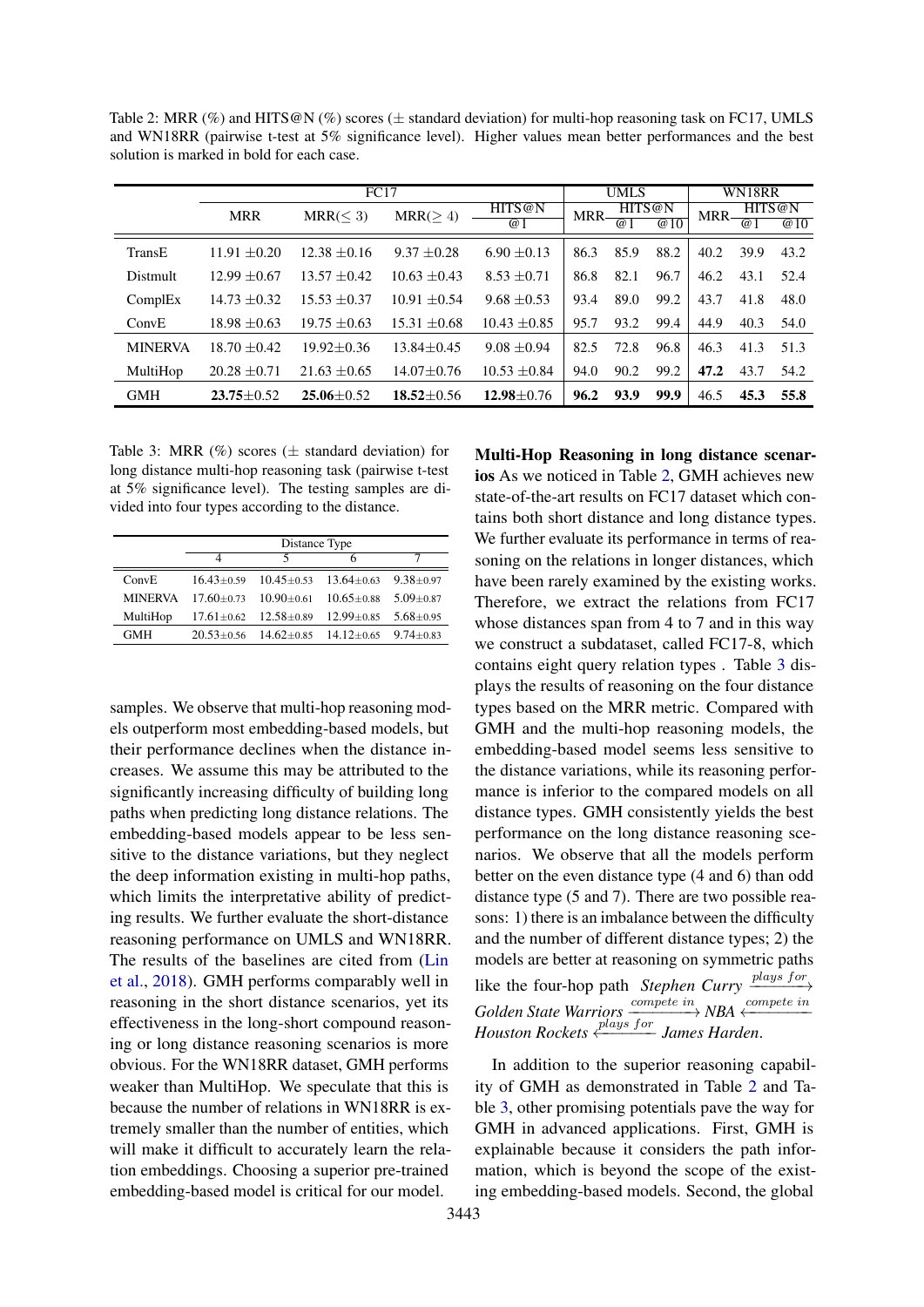<span id="page-6-0"></span>Table 2: MRR (%) and HITS@N (%) scores ( $\pm$  standard deviation) for multi-hop reasoning task on FC17, UMLS and WN18RR (pairwise t-test at 5% significance level). Higher values mean better performances and the best solution is marked in bold for each case.

|                | FC17             |                  |                  | <b>UMLS</b>          |      |                | WN18RR                     |            |                          |                   |
|----------------|------------------|------------------|------------------|----------------------|------|----------------|----------------------------|------------|--------------------------|-------------------|
|                | <b>MRR</b>       | MRR(< 3)         | MRR(>4)          | HITS@N<br>$\omega$ 1 | MRR- | $\overline{a}$ | HITS@N<br>$\overline{a}10$ | <b>MRR</b> | HITS@N<br>$\overline{a}$ | $\overline{w}$ 10 |
| TransE         | $11.91 + 0.20$   | $12.38 + 0.16$   | $9.37 + 0.28$    | $6.90 + 0.13$        | 86.3 | 85.9           | 88.2                       | 40.2       | 39.9                     | 43.2              |
| Distmult       | $12.99 + 0.67$   | $13.57 + 0.42$   | $10.63 \pm 0.43$ | $8.53 + 0.71$        | 86.8 | 82.1           | 96.7                       | 46.2       | 43.1                     | 52.4              |
| ComplEx        | $14.73 + 0.32$   | $15.53 + 0.37$   | $10.91 + 0.54$   | $9.68 + 0.53$        | 93.4 | 89.0           | 99.2                       | 43.7       | 41.8                     | 48.0              |
| ConvE          | $18.98 + 0.63$   | $19.75 \pm 0.63$ | $15.31 \pm 0.68$ | $10.43 \pm 0.85$     | 95.7 | 93.2           | 99.4                       | 44.9       | 40.3                     | 54.0              |
| <b>MINERVA</b> | $18.70 + 0.42$   | $19.92 + 0.36$   | $13.84 + 0.45$   | $9.08 + 0.94$        | 82.5 | 72.8           | 96.8                       | 46.3       | 41.3                     | 51.3              |
| MultiHop       | $20.28 \pm 0.71$ | $21.63 \pm 0.65$ | $14.07 \pm 0.76$ | $10.53 \pm 0.84$     | 94.0 | 90.2           | 99.2                       | 47.2       | 43.7                     | 54.2              |
| <b>GMH</b>     | $23.75 + 0.52$   | $25.06 \pm 0.52$ | $18.52 + 0.56$   | $12.98 \pm 0.76$     | 96.2 | 93.9           | 99.9                       | 46.5       | 45.3                     | 55.8              |

<span id="page-6-1"></span>Table 3: MRR  $(\%)$  scores ( $\pm$  standard deviation) for long distance multi-hop reasoning task (pairwise t-test at 5% significance level). The testing samples are divided into four types according to the distance.

|                | Distance Type                                |                                                                    |   |               |  |
|----------------|----------------------------------------------|--------------------------------------------------------------------|---|---------------|--|
|                | 4                                            | 5                                                                  | 6 |               |  |
| ConvE          |                                              | $16.43 \pm 0.59$ $10.45 \pm 0.53$ $13.64 \pm 0.63$ $9.38 \pm 0.97$ |   |               |  |
| <b>MINERVA</b> | $17.60 + 0.73$ $10.90 + 0.61$ $10.65 + 0.88$ |                                                                    |   | $5.09 + 0.87$ |  |
| MultiHop       |                                              | $17.61 \pm 0.62$ $12.58 \pm 0.89$ $12.99 \pm 0.85$                 |   | $5.68 + 0.95$ |  |
| <b>GMH</b>     |                                              | $20.53 \pm 0.56$ $14.62 \pm 0.85$ $14.12 \pm 0.65$ $9.74 \pm 0.83$ |   |               |  |

samples. We observe that multi-hop reasoning models outperform most embedding-based models, but their performance declines when the distance increases. We assume this may be attributed to the significantly increasing difficulty of building long paths when predicting long distance relations. The embedding-based models appear to be less sensitive to the distance variations, but they neglect the deep information existing in multi-hop paths, which limits the interpretative ability of predicting results. We further evaluate the short-distance reasoning performance on UMLS and WN18RR. The results of the baselines are cited from [\(Lin](#page-9-4) [et al.,](#page-9-4) [2018\)](#page-9-4). GMH performs comparably well in reasoning in the short distance scenarios, yet its effectiveness in the long-short compound reasoning or long distance reasoning scenarios is more obvious. For the WN18RR dataset, GMH performs weaker than MultiHop. We speculate that this is because the number of relations in WN18RR is extremely smaller than the number of entities, which will make it difficult to accurately learn the relation embeddings. Choosing a superior pre-trained embedding-based model is critical for our model.

Multi-Hop Reasoning in long distance scenarios As we noticed in Table [2,](#page-6-0) GMH achieves new state-of-the-art results on FC17 dataset which contains both short distance and long distance types. We further evaluate its performance in terms of reasoning on the relations in longer distances, which have been rarely examined by the existing works. Therefore, we extract the relations from FC17 whose distances span from 4 to 7 and in this way we construct a subdataset, called FC17-8, which contains eight query relation types . Table [3](#page-6-1) displays the results of reasoning on the four distance types based on the MRR metric. Compared with GMH and the multi-hop reasoning models, the embedding-based model seems less sensitive to the distance variations, while its reasoning performance is inferior to the compared models on all distance types. GMH consistently yields the best performance on the long distance reasoning scenarios. We observe that all the models perform better on the even distance type (4 and 6) than odd distance type (5 and 7). There are two possible reasons: 1) there is an imbalance between the difficulty and the number of different distance types; 2) the models are better at reasoning on symmetric paths like the four-hop path *Stephen Curry*  $\frac{p \mid \text{days for}}{p}$ *Golden State Warriors*  $\frac{complete\ in}{\longrightarrow} NBA \xleftarrow{complete\ in}$ *Houston Rockets* ←<sup>*plays for* James Harden.</sup>

In addition to the superior reasoning capability of GMH as demonstrated in Table [2](#page-6-0) and Table [3,](#page-6-1) other promising potentials pave the way for GMH in advanced applications. First, GMH is explainable because it considers the path information, which is beyond the scope of the existing embedding-based models. Second, the global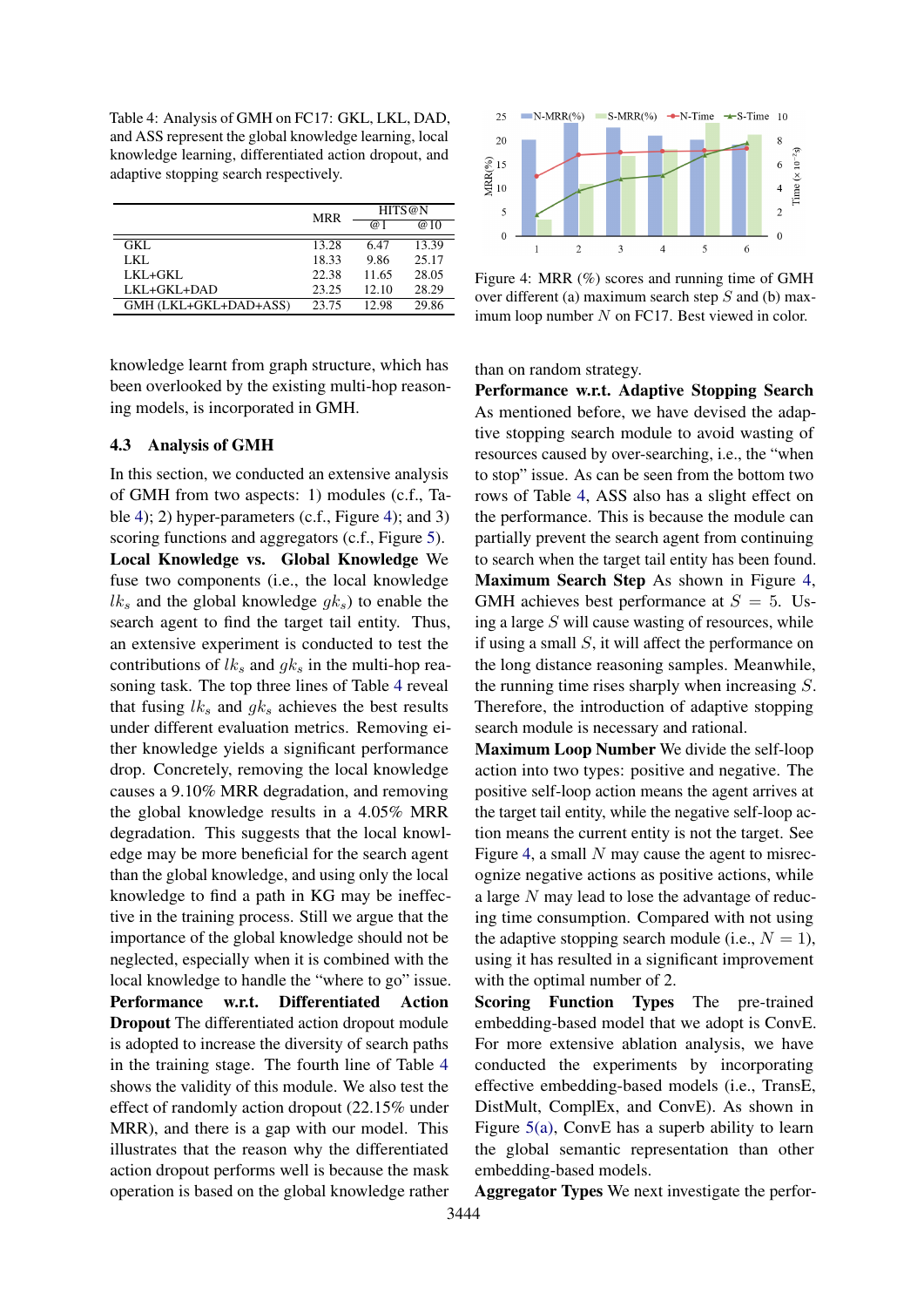<span id="page-7-1"></span>Table 4: Analysis of GMH on FC17: GKL, LKL, DAD, and ASS represent the global knowledge learning, local knowledge learning, differentiated action dropout, and adaptive stopping search respectively.

|                       | <b>MRR</b> | HITS@N |       |  |
|-----------------------|------------|--------|-------|--|
|                       |            | @ 1    | @10   |  |
| GKL.                  | 13.28      | 6.47   | 13.39 |  |
| LKL.                  | 18.33      | 9.86   | 25.17 |  |
| LKL+GKL               | 22.38      | 11.65  | 28.05 |  |
| LKL+GKL+DAD           | 23.25      | 12.10  | 28.29 |  |
| GMH (LKL+GKL+DAD+ASS) | 23.75      | 12.98  | 29.86 |  |

knowledge learnt from graph structure, which has been overlooked by the existing multi-hop reasoning models, is incorporated in GMH.

# <span id="page-7-0"></span>4.3 Analysis of GMH

In this section, we conducted an extensive analysis of GMH from two aspects: 1) modules (c.f., Table [4\)](#page-7-1); 2) hyper-parameters (c.f., Figure [4\)](#page-7-2); and 3) scoring functions and aggregators (c.f., Figure [5\)](#page-8-11). Local Knowledge vs. Global Knowledge We fuse two components (i.e., the local knowledge  $lk<sub>s</sub>$  and the global knowledge  $gk<sub>s</sub>$ ) to enable the search agent to find the target tail entity. Thus, an extensive experiment is conducted to test the contributions of  $lk<sub>s</sub>$  and  $qk<sub>s</sub>$  in the multi-hop reasoning task. The top three lines of Table [4](#page-7-1) reveal that fusing  $lk_s$  and  $qk_s$  achieves the best results under different evaluation metrics. Removing either knowledge yields a significant performance drop. Concretely, removing the local knowledge causes a 9.10% MRR degradation, and removing the global knowledge results in a 4.05% MRR degradation. This suggests that the local knowledge may be more beneficial for the search agent than the global knowledge, and using only the local knowledge to find a path in KG may be ineffective in the training process. Still we argue that the importance of the global knowledge should not be neglected, especially when it is combined with the local knowledge to handle the "where to go" issue. Performance w.r.t. Differentiated Action Dropout The differentiated action dropout module is adopted to increase the diversity of search paths in the training stage. The fourth line of Table [4](#page-7-1) shows the validity of this module. We also test the effect of randomly action dropout (22.15% under MRR), and there is a gap with our model. This illustrates that the reason why the differentiated action dropout performs well is because the mask operation is based on the global knowledge rather

<span id="page-7-2"></span>

Figure 4: MRR (%) scores and running time of GMH over different (a) maximum search step  $S$  and (b) maximum loop number  $N$  on FC17. Best viewed in color.

than on random strategy.

Performance w.r.t. Adaptive Stopping Search As mentioned before, we have devised the adaptive stopping search module to avoid wasting of resources caused by over-searching, i.e., the "when to stop" issue. As can be seen from the bottom two rows of Table [4,](#page-7-1) ASS also has a slight effect on the performance. This is because the module can partially prevent the search agent from continuing to search when the target tail entity has been found. Maximum Search Step As shown in Figure [4,](#page-7-2) GMH achieves best performance at  $S = 5$ . Using a large  $S$  will cause wasting of resources, while if using a small  $S$ , it will affect the performance on the long distance reasoning samples. Meanwhile, the running time rises sharply when increasing S. Therefore, the introduction of adaptive stopping search module is necessary and rational.

Maximum Loop Number We divide the self-loop action into two types: positive and negative. The positive self-loop action means the agent arrives at the target tail entity, while the negative self-loop action means the current entity is not the target. See Figure [4,](#page-7-2) a small  $N$  may cause the agent to misrecognize negative actions as positive actions, while a large N may lead to lose the advantage of reducing time consumption. Compared with not using the adaptive stopping search module (i.e.,  $N = 1$ ), using it has resulted in a significant improvement with the optimal number of 2.

Scoring Function Types The pre-trained embedding-based model that we adopt is ConvE. For more extensive ablation analysis, we have conducted the experiments by incorporating effective embedding-based models (i.e., TransE, DistMult, ComplEx, and ConvE). As shown in Figure [5\(a\),](#page-8-12) ConvE has a superb ability to learn the global semantic representation than other embedding-based models.

Aggregator Types We next investigate the perfor-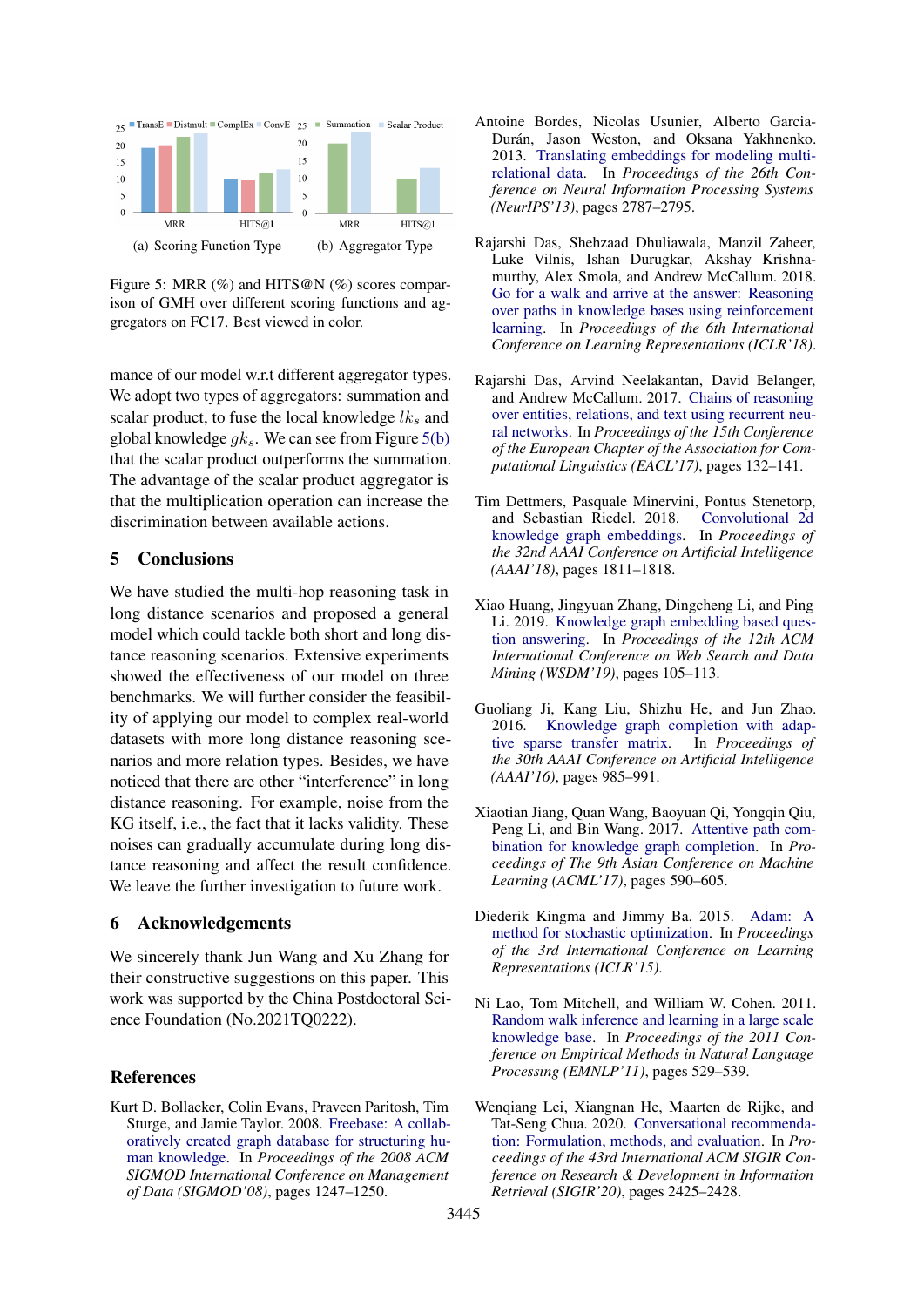<span id="page-8-12"></span><span id="page-8-11"></span>

Figure 5: MRR  $(\%)$  and HITS@N  $(\%)$  scores comparison of GMH over different scoring functions and aggregators on FC17. Best viewed in color.

mance of our model w.r.t different aggregator types. We adopt two types of aggregators: summation and scalar product, to fuse the local knowledge  $lk<sub>s</sub>$  and global knowledge  $q_k$ . We can see from Figure [5\(b\)](#page-8-13) that the scalar product outperforms the summation. The advantage of the scalar product aggregator is that the multiplication operation can increase the discrimination between available actions.

# 5 Conclusions

We have studied the multi-hop reasoning task in long distance scenarios and proposed a general model which could tackle both short and long distance reasoning scenarios. Extensive experiments showed the effectiveness of our model on three benchmarks. We will further consider the feasibility of applying our model to complex real-world datasets with more long distance reasoning scenarios and more relation types. Besides, we have noticed that there are other "interference" in long distance reasoning. For example, noise from the KG itself, i.e., the fact that it lacks validity. These noises can gradually accumulate during long distance reasoning and affect the result confidence. We leave the further investigation to future work.

# 6 Acknowledgements

We sincerely thank Jun Wang and Xu Zhang for their constructive suggestions on this paper. This work was supported by the China Postdoctoral Science Foundation (No.2021TQ0222).

# References

<span id="page-8-2"></span>Kurt D. Bollacker, Colin Evans, Praveen Paritosh, Tim Sturge, and Jamie Taylor. 2008. [Freebase: A collab](https://dl.acm.org/doi/10.1145/1376616.1376746)[oratively created graph database for structuring hu](https://dl.acm.org/doi/10.1145/1376616.1376746)[man knowledge.](https://dl.acm.org/doi/10.1145/1376616.1376746) In *Proceedings of the 2008 ACM SIGMOD International Conference on Management of Data (SIGMOD'08)*, pages 1247–1250.

- <span id="page-8-7"></span>Antoine Bordes, Nicolas Usunier, Alberto Garcia-Durán, Jason Weston, and Oksana Yakhnenko. 2013. [Translating embeddings for modeling multi](http://papers.nips.cc/paper/5071-translating-embeddings-for-modeling-multi-rela)[relational data.](http://papers.nips.cc/paper/5071-translating-embeddings-for-modeling-multi-rela) In *Proceedings of the 26th Conference on Neural Information Processing Systems (NeurIPS'13)*, pages 2787–2795.
- <span id="page-8-13"></span><span id="page-8-3"></span>Rajarshi Das, Shehzaad Dhuliawala, Manzil Zaheer, Luke Vilnis, Ishan Durugkar, Akshay Krishnamurthy, Alex Smola, and Andrew McCallum. 2018. [Go for a walk and arrive at the answer: Reasoning](https://openreview.net/forum?id=Syg-YfWCW) [over paths in knowledge bases using reinforcement](https://openreview.net/forum?id=Syg-YfWCW) [learning.](https://openreview.net/forum?id=Syg-YfWCW) In *Proceedings of the 6th International Conference on Learning Representations (ICLR'18)*.
- <span id="page-8-5"></span>Rajarshi Das, Arvind Neelakantan, David Belanger, and Andrew McCallum. 2017. [Chains of reasoning](https://www.aclweb.org/anthology/E17-1013) [over entities, relations, and text using recurrent neu](https://www.aclweb.org/anthology/E17-1013)[ral networks.](https://www.aclweb.org/anthology/E17-1013) In *Proceedings of the 15th Conference of the European Chapter of the Association for Computational Linguistics (EACL'17)*, pages 132–141.
- <span id="page-8-9"></span>Tim Dettmers, Pasquale Minervini, Pontus Stenetorp, and Sebastian Riedel. 2018. [Convolutional 2d](https://aaai.org/ocs/index.php/AAAI/AAAI18/paper/view/17366/15884) [knowledge graph embeddings.](https://aaai.org/ocs/index.php/AAAI/AAAI18/paper/view/17366/15884) In *Proceedings of the 32nd AAAI Conference on Artificial Intelligence (AAAI'18)*, pages 1811–1818.
- <span id="page-8-1"></span>Xiao Huang, Jingyuan Zhang, Dingcheng Li, and Ping Li. 2019. [Knowledge graph embedding based ques](https://dl.acm.org/doi/abs/10.1145/3289600.3290956)[tion answering.](https://dl.acm.org/doi/abs/10.1145/3289600.3290956) In *Proceedings of the 12th ACM International Conference on Web Search and Data Mining (WSDM'19)*, pages 105–113.
- <span id="page-8-8"></span>Guoliang Ji, Kang Liu, Shizhu He, and Jun Zhao. 2016. [Knowledge graph completion with adap](https://aaai.org/ocs/index.php/AAAI/AAAI16/paper/view/11982/11693)[tive sparse transfer matrix.](https://aaai.org/ocs/index.php/AAAI/AAAI16/paper/view/11982/11693) In *Proceedings of the 30th AAAI Conference on Artificial Intelligence (AAAI'16)*, pages 985–991.
- <span id="page-8-6"></span>Xiaotian Jiang, Quan Wang, Baoyuan Qi, Yongqin Qiu, Peng Li, and Bin Wang. 2017. [Attentive path com](http://proceedings.mlr.press/v77/jiang17a/jiang17a.pdf)[bination for knowledge graph completion.](http://proceedings.mlr.press/v77/jiang17a/jiang17a.pdf) In *Proceedings of The 9th Asian Conference on Machine Learning (ACML'17)*, pages 590–605.
- <span id="page-8-10"></span>Diederik Kingma and Jimmy Ba. 2015. [Adam: A](https://arxiv.org/abs/1412.6980) [method for stochastic optimization.](https://arxiv.org/abs/1412.6980) In *Proceedings of the 3rd International Conference on Learning Representations (ICLR'15)*.
- <span id="page-8-4"></span>Ni Lao, Tom Mitchell, and William W. Cohen. 2011. [Random walk inference and learning in a large scale](https://www.aclweb.org/anthology/D11-1049) [knowledge base.](https://www.aclweb.org/anthology/D11-1049) In *Proceedings of the 2011 Conference on Empirical Methods in Natural Language Processing (EMNLP'11)*, pages 529–539.
- <span id="page-8-0"></span>Wengiang Lei, Xiangnan He, Maarten de Rijke, and Tat-Seng Chua. 2020. [Conversational recommenda](https://doi.org/10.1145/3397271.3401419)[tion: Formulation, methods, and evaluation.](https://doi.org/10.1145/3397271.3401419) In *Proceedings of the 43rd International ACM SIGIR Conference on Research & Development in Information Retrieval (SIGIR'20)*, pages 2425–2428.